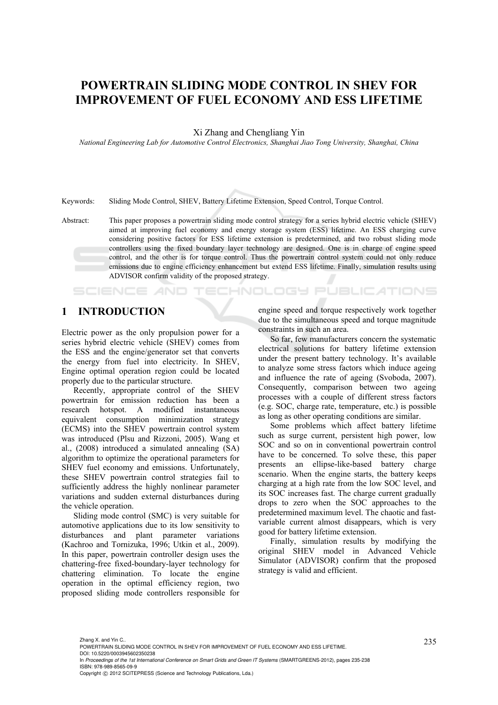# **POWERTRAIN SLIDING MODE CONTROL IN SHEV FOR IMPROVEMENT OF FUEL ECONOMY AND ESS LIFETIME**

Xi Zhang and Chengliang Yin

*National Engineering Lab for Automotive Control Electronics, Shanghai Jiao Tong University, Shanghai, China* 

Keywords: Sliding Mode Control, SHEV, Battery Lifetime Extension, Speed Control, Torque Control.

Abstract: This paper proposes a powertrain sliding mode control strategy for a series hybrid electric vehicle (SHEV) aimed at improving fuel economy and energy storage system (ESS) lifetime. An ESS charging curve considering positive factors for ESS lifetime extension is predetermined, and two robust sliding mode controllers using the fixed boundary layer technology are designed. One is in charge of engine speed control, and the other is for torque control. Thus the powertrain control system could not only reduce emissions due to engine efficiency enhancement but extend ESS lifetime. Finally, simulation results using ADVISOR confirm validity of the proposed strategy.

## **1 INTRODUCTION**

**SCIENCE AND** 

Electric power as the only propulsion power for a series hybrid electric vehicle (SHEV) comes from the ESS and the engine/generator set that converts the energy from fuel into electricity. In SHEV, Engine optimal operation region could be located properly due to the particular structure.

Recently, appropriate control of the SHEV powertrain for emission reduction has been a research hotspot. A modified instantaneous equivalent consumption minimization strategy (ECMS) into the SHEV powertrain control system was introduced (Plsu and Rizzoni, 2005). Wang et al., (2008) introduced a simulated annealing (SA) algorithm to optimize the operational parameters for SHEV fuel economy and emissions. Unfortunately, these SHEV powertrain control strategies fail to sufficiently address the highly nonlinear parameter variations and sudden external disturbances during the vehicle operation.

Sliding mode control (SMC) is very suitable for automotive applications due to its low sensitivity to disturbances and plant parameter variations (Kachroo and Tornizuka, 1996; Utkin et al., 2009). In this paper, powertrain controller design uses the chattering-free fixed-boundary-layer technology for chattering elimination. To locate the engine operation in the optimal efficiency region, two proposed sliding mode controllers responsible for engine speed and torque respectively work together due to the simultaneous speed and torque magnitude constraints in such an area.

**TECHNOLOGY PUBLICATIONS** 

So far, few manufacturers concern the systematic electrical solutions for battery lifetime extension under the present battery technology. It's available to analyze some stress factors which induce ageing and influence the rate of ageing (Svoboda, 2007). Consequently, comparison between two ageing processes with a couple of different stress factors (e.g. SOC, charge rate, temperature, etc.) is possible as long as other operating conditions are similar.

Some problems which affect battery lifetime such as surge current, persistent high power, low SOC and so on in conventional powertrain control have to be concerned. To solve these, this paper presents an ellipse-like-based battery charge scenario. When the engine starts, the battery keeps charging at a high rate from the low SOC level, and its SOC increases fast. The charge current gradually drops to zero when the SOC approaches to the predetermined maximum level. The chaotic and fastvariable current almost disappears, which is very good for battery lifetime extension.

Finally, simulation results by modifying the original SHEV model in Advanced Vehicle Simulator (ADVISOR) confirm that the proposed strategy is valid and efficient.

<sup>235</sup> Zhang X. and Yin C.. POWERTRAIN SLIDING MODE CONTROL IN SHEV FOR IMPROVEMENT OF FUEL ECONOMY AND ESS LIFETIME. DOI: 10.5220/0003945602350238

In *Proceedings of the 1st International Conference on Smart Grids and Green IT Systems* (SMARTGREENS-2012), pages 235-238 ISBN: 978-989-8565-09-9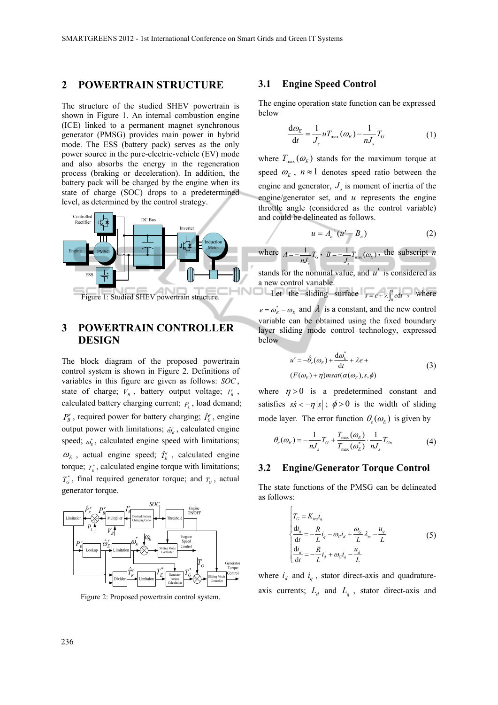## **2 POWERTRAIN STRUCTURE**

The structure of the studied SHEV powertrain is shown in Figure 1. An internal combustion engine (ICE) linked to a permanent magnet synchronous generator (PMSG) provides main power in hybrid mode. The ESS (battery pack) serves as the only power source in the pure-electric-vehicle (EV) mode and also absorbs the energy in the regeneration process (braking or deceleration). In addition, the battery pack will be charged by the engine when its state of charge (SOC) drops to a predetermined level, as determined by the control strategy.



# **3 POWERTRAIN CONTROLLER DESIGN**

The block diagram of the proposed powertrain control system is shown in Figure 2. Definitions of variables in this figure are given as follows: *SOC* , state of charge;  $V_B$ , battery output voltage;  $I_B^r$ , calculated battery charging current;  $P_L$ , load demand;  $P_{B}^{r}$ , required power for battery charging;  $\hat{P}_{E}^{r}$ , engine output power with limitations;  $\hat{\omega}_k^r$ , calculated engine speed;  $\omega_{\varepsilon}^*$ , calculated engine speed with limitations;  $\omega_E$ , actual engine speed;  $\hat{T}_E^r$ , calculated engine torque;  $T_{\kappa}^*$ , calculated engine torque with limitations;  $T_G^*$ , final required generator torque; and  $T_G$ , actual generator torque.



Figure 2: Proposed powertrain control system.

#### **3.1 Engine Speed Control**

The engine operation state function can be expressed below

$$
\frac{\mathrm{d}\omega_{E}}{\mathrm{d}t} = \frac{1}{J_{s}} u T_{\text{max}}(\omega_{E}) - \frac{1}{nJ_{s}} T_{G} \tag{1}
$$

where  $T_{\text{max}}(\omega_E)$  stands for the maximum torque at speed  $\omega_F$ ,  $n \approx 1$  denotes speed ratio between the engine and generator,  $J<sub>s</sub>$  is moment of inertia of the engine/generator set, and *u* represents the engine throttle angle (considered as the control variable) and could be delineated as follows.

$$
u = A_n^{-1}(u' - B_n)
$$
 (2)

where  $A = -\frac{1}{nJ_s}T_c$  $A = -\frac{1}{nJ_s}T_G$ ,  $B = -\frac{1}{J_s}T_{\text{max}}(\omega_E)$  $B = -\frac{1}{J_s}T_{\text{max}}(\omega_E)$ , the subscript *n* 

stands for the nominal value, and *u*′ is considered as a new control variable.

Let the sliding surface  $s = e + \lambda \int_0^t e dt$ , where

 $e = \omega_E^* - \omega_E$  and  $\lambda$  is a constant, and the new control variable can be obtained using the fixed boundary layer sliding mode control technology, expressed below

$$
u' = -\hat{\theta}_e(\omega_E) + \frac{d\omega_E^*}{dt} + \lambda e +
$$
  
(*F*( $\omega_E$ ) +  $\eta$ )*msat*( $\alpha(\omega_E)$ , *s*,  $\phi$ ) (3)

where  $\eta > 0$  is a predetermined constant and satisfies  $s\dot{s} < -\eta |s|$ ;  $\phi > 0$  is the width of sliding mode layer. The error function  $\theta_{\alpha}(\omega_r)$  is given by

$$
\theta_e(\omega_E) = -\frac{1}{nJ_s}T_G + \frac{T_{\text{max}}(\omega_E)}{T_{\text{max}}(\omega_E^*)} \cdot \frac{1}{nJ_s}T_{Gn}
$$
(4)

#### **3.2 Engine/Generator Torque Control**

The state functions of the PMSG can be delineated as follows:

$$
\begin{cases}\nT_G = K_{l} \dot{u}_q \\
\frac{d\dot{u}_q}{dt} = -\frac{R}{L} \dot{i}_q - \omega_G \dot{i}_d + \frac{\omega_G}{L} \lambda_m - \frac{u_q}{L} \\
\frac{d\dot{u}_d}{dt} = -\frac{R}{L} \dot{i}_d + \omega_G \dot{i}_q - \frac{u_d}{L}\n\end{cases} \tag{5}
$$

where  $i_d$  and  $i_g$ , stator direct-axis and quadratureaxis currents;  $L_d$  and  $L_q$ , stator direct-axis and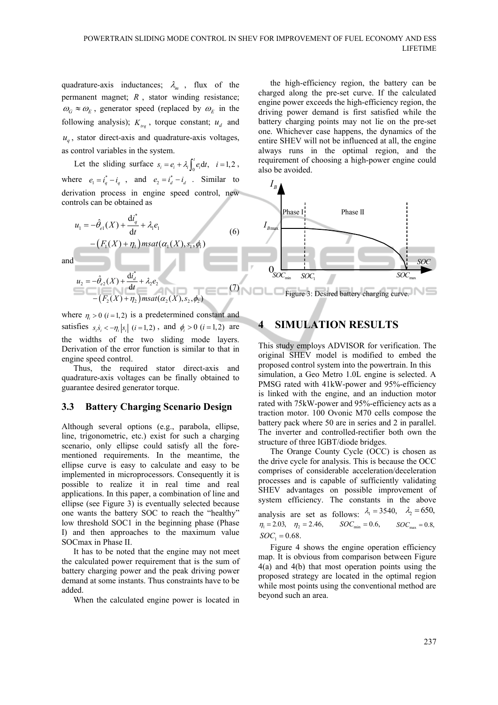quadrature-axis inductances;  $\lambda_m$ , flux of the permanent magnet; *R* , stator winding resistance;  $\omega_G \approx \omega_E$ , generator speed (replaced by  $\omega_E$  in the following analysis);  $K_{trq}$ , torque constant;  $u_d$  and  $u_a$ , stator direct-axis and quadrature-axis voltages, as control variables in the system.

Let the sliding surface  $s_i = e_i + \lambda_i \int_0^t e_i dt$ ,  $i = 1,2$ , where  $e_1 = i_q^* - i_q$ , and  $e_2 = i_d^* - i_d$ . Similar to derivation process in engine speed control, new controls can be obtained as

$$
u_1 = -\hat{\theta}_{el}(X) + \frac{\mathrm{d}i_q^*}{\mathrm{d}t} + \lambda_l e_1
$$
  
 
$$
- \left( F_1(X) + \eta_1 \right) m \operatorname{sat}(\alpha_1(X), s_1, \phi_1)
$$
 (6)

and

$$
u_2 = -\hat{\theta}_{e2}(X) + \frac{di_d^*}{dt} + \lambda_2 e_2
$$
  
-(F\_2(X) + \eta\_2) msat( $\alpha_2(X), s_2, \phi_2$ )

where  $\eta_i > 0$  ( $i = 1,2$ ) is a predetermined constant and satisfies  $s_i \dot{s}_i < -\eta_i |s_i|$  (*i* = 1,2), and  $\phi_i > 0$  (*i* = 1,2) are the widths of the two sliding mode layers. Derivation of the error function is similar to that in engine speed control.

Thus, the required stator direct-axis and quadrature-axis voltages can be finally obtained to guarantee desired generator torque.

### **3.3 Battery Charging Scenario Design**

Although several options (e.g., parabola, ellipse, line, trigonometric, etc.) exist for such a charging scenario, only ellipse could satisfy all the forementioned requirements. In the meantime, the ellipse curve is easy to calculate and easy to be implemented in microprocessors. Consequently it is possible to realize it in real time and real applications. In this paper, a combination of line and ellipse (see Figure 3) is eventually selected because one wants the battery SOC to reach the "healthy" low threshold SOC1 in the beginning phase (Phase I) and then approaches to the maximum value SOCmax in Phase II.

It has to be noted that the engine may not meet the calculated power requirement that is the sum of battery charging power and the peak driving power demand at some instants. Thus constraints have to be added.

When the calculated engine power is located in

the high-efficiency region, the battery can be charged along the pre-set curve. If the calculated engine power exceeds the high-efficiency region, the driving power demand is first satisfied while the battery charging points may not lie on the pre-set one. Whichever case happens, the dynamics of the entire SHEV will not be influenced at all, the engine always runs in the optimal region, and the requirement of choosing a high-power engine could also be avoided.



(7) Figure 3: Desired battery charging curve.

# **4 SIMULATION RESULTS**

This study employs ADVISOR for verification. The original SHEV model is modified to embed the proposed control system into the powertrain. In this simulation, a Geo Metro 1.0L engine is selected. A PMSG rated with 41kW-power and 95%-efficiency is linked with the engine, and an induction motor rated with 75kW-power and 95%-efficiency acts as a traction motor. 100 Ovonic M70 cells compose the battery pack where 50 are in series and 2 in parallel. The inverter and controlled-rectifier both own the structure of three IGBT/diode bridges.

The Orange County Cycle (OCC) is chosen as the drive cycle for analysis. This is because the OCC comprises of considerable acceleration/deceleration processes and is capable of sufficiently validating SHEV advantages on possible improvement of system efficiency. The constants in the above analysis are set as follows:  $\lambda_1 = 3540$ ,  $\lambda_2 = 650$ ,  $\eta_1 = 2.03, \quad \eta_2 = 2.46, \qquad SOC_{\min} = 0.6, \qquad SOC_{\max} = 0.8,$  $SOC_1 = 0.68$ .

Figure 4 shows the engine operation efficiency map. It is obvious from comparison between Figure 4(a) and 4(b) that most operation points using the proposed strategy are located in the optimal region while most points using the conventional method are beyond such an area.